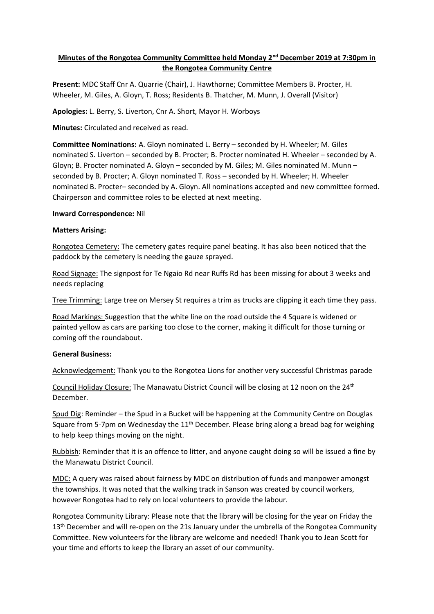# **Minutes of the Rongotea Community Committee held Monday 2nd December 2019 at 7:30pm in the Rongotea Community Centre**

**Present:** MDC Staff Cnr A. Quarrie (Chair), J. Hawthorne; Committee Members B. Procter, H. Wheeler, M. Giles, A. Gloyn, T. Ross; Residents B. Thatcher, M. Munn, J. Overall (Visitor)

**Apologies:** L. Berry, S. Liverton, Cnr A. Short, Mayor H. Worboys

**Minutes:** Circulated and received as read.

**Committee Nominations:** A. Gloyn nominated L. Berry – seconded by H. Wheeler; M. Giles nominated S. Liverton – seconded by B. Procter; B. Procter nominated H. Wheeler – seconded by A. Gloyn; B. Procter nominated A. Gloyn – seconded by M. Giles; M. Giles nominated M. Munn – seconded by B. Procter; A. Gloyn nominated T. Ross – seconded by H. Wheeler; H. Wheeler nominated B. Procter– seconded by A. Gloyn. All nominations accepted and new committee formed. Chairperson and committee roles to be elected at next meeting.

#### **Inward Correspondence:** Nil

#### **Matters Arising:**

Rongotea Cemetery: The cemetery gates require panel beating. It has also been noticed that the paddock by the cemetery is needing the gauze sprayed.

Road Signage: The signpost for Te Ngaio Rd near Ruffs Rd has been missing for about 3 weeks and needs replacing

Tree Trimming: Large tree on Mersey St requires a trim as trucks are clipping it each time they pass.

Road Markings: Suggestion that the white line on the road outside the 4 Square is widened or painted yellow as cars are parking too close to the corner, making it difficult for those turning or coming off the roundabout.

#### **General Business:**

Acknowledgement: Thank you to the Rongotea Lions for another very successful Christmas parade

Council Holiday Closure: The Manawatu District Council will be closing at 12 noon on the 24<sup>th</sup> December.

Spud Dig: Reminder – the Spud in a Bucket will be happening at the Community Centre on Douglas Square from 5-7pm on Wednesday the  $11<sup>th</sup>$  December. Please bring along a bread bag for weighing to help keep things moving on the night.

Rubbish: Reminder that it is an offence to litter, and anyone caught doing so will be issued a fine by the Manawatu District Council.

MDC: A query was raised about fairness by MDC on distribution of funds and manpower amongst the townships. It was noted that the walking track in Sanson was created by council workers, however Rongotea had to rely on local volunteers to provide the labour.

Rongotea Community Library: Please note that the library will be closing for the year on Friday the 13<sup>th</sup> December and will re-open on the 21s January under the umbrella of the Rongotea Community Committee. New volunteers for the library are welcome and needed! Thank you to Jean Scott for your time and efforts to keep the library an asset of our community.